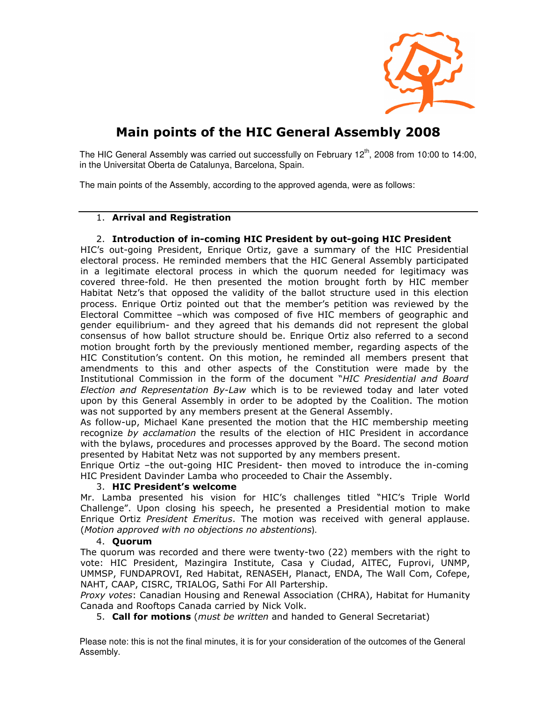

# **Main points of the HIC General Assembly 2008**

The HIC General Assembly was carried out successfully on February  $12<sup>th</sup>$ , 2008 from 10:00 to 14:00, in the Universitat Oberta de Catalunya, Barcelona, Spain.

The main points of the Assembly, according to the approved agenda, were as follows:

# 1. **Arrival and Registration**

# 2. **Introduction of in-coming HIC President by out-going HIC President**

HIC's out-going President, Enrique Ortiz, gave a summary of the HIC Presidential electoral process. He reminded members that the HIC General Assembly participated in a legitimate electoral process in which the quorum needed for legitimacy was covered three-fold. He then presented the motion brought forth by HIC member Habitat Netz's that opposed the validity of the ballot structure used in this election process. Enrique Ortiz pointed out that the member's petition was reviewed by the Electoral Committee –which was composed of five HIC members of geographic and gender equilibrium- and they agreed that his demands did not represent the global consensus of how ballot structure should be. Enrique Ortiz also referred to a second motion brought forth by the previously mentioned member, regarding aspects of the HIC Constitution's content. On this motion, he reminded all members present that amendments to this and other aspects of the Constitution were made by the Institutional Commission in the form of the document "*HIC Presidential and Board Election and Representation By-Law* which is to be reviewed today and later voted upon by this General Assembly in order to be adopted by the Coalition. The motion was not supported by any members present at the General Assembly.

As follow-up, Michael Kane presented the motion that the HIC membership meeting recognize *by acclamation* the results of the election of HIC President in accordance with the bylaws, procedures and processes approved by the Board. The second motion presented by Habitat Netz was not supported by any members present.

Enrique Ortiz –the out-going HIC President- then moved to introduce the in-coming HIC President Davinder Lamba who proceeded to Chair the Assembly.

# 3. **HIC President's welcome**

Mr. Lamba presented his vision for HIC's challenges titled "HIC's Triple World Challenge". Upon closing his speech, he presented a Presidential motion to make Enrique Ortiz *President Emeritus*. The motion was received with general applause. (*Motion approved with no objections no abstentions*).

#### 4. **Quorum**

The quorum was recorded and there were twenty-two (22) members with the right to vote: HIC President, Mazingira Institute, Casa y Ciudad, AITEC, Fuprovi, UNMP, UMMSP, FUNDAPROVI, Red Habitat, RENASEH, Planact, ENDA, The Wall Com, Cofepe, NAHT, CAAP, CISRC, TRIALOG, Sathi For All Partership.

*Proxy votes*: Canadian Housing and Renewal Association (CHRA), Habitat for Humanity Canada and Rooftops Canada carried by Nick Volk.

5. **Call for motions** (*must be written* and handed to General Secretariat)

Please note: this is not the final minutes, it is for your consideration of the outcomes of the General Assembly.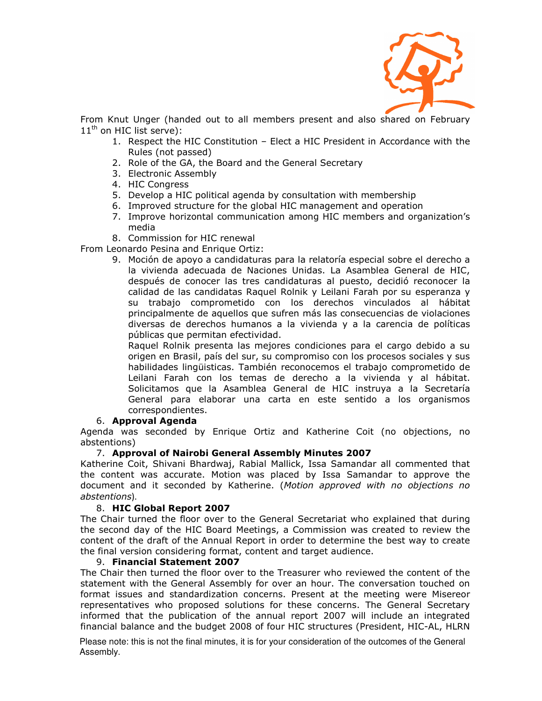

From Knut Unger (handed out to all members present and also shared on February 11<sup>th</sup> on HIC list serve):

- 1. Respect the HIC Constitution Elect a HIC President in Accordance with the Rules (not passed)
- 2. Role of the GA, the Board and the General Secretary
- 3. Electronic Assembly
- 4. HIC Congress
- 5. Develop a HIC political agenda by consultation with membership
- 6. Improved structure for the global HIC management and operation
- 7. Improve horizontal communication among HIC members and organization's media
- 8. Commission for HIC renewal

From Leonardo Pesina and Enrique Ortiz:

9. Moción de apoyo a candidaturas para la relatoría especial sobre el derecho a la vivienda adecuada de Naciones Unidas. La Asamblea General de HIC, después de conocer las tres candidaturas al puesto, decidió reconocer la calidad de las candidatas Raquel Rolnik y Leilani Farah por su esperanza y su trabajo comprometido con los derechos vinculados al hábitat principalmente de aquellos que sufren más las consecuencias de violaciones diversas de derechos humanos a la vivienda y a la carencia de políticas públicas que permitan efectividad.

Raquel Rolnik presenta las mejores condiciones para el cargo debido a su origen en Brasil, país del sur, su compromiso con los procesos sociales y sus habilidades lingüisticas. También reconocemos el trabajo comprometido de Leilani Farah con los temas de derecho a la vivienda y al hábitat. Solicitamos que la Asamblea General de HIC instruya a la Secretaría General para elaborar una carta en este sentido a los organismos correspondientes.

## 6. **Approval Agenda**

Agenda was seconded by Enrique Ortiz and Katherine Coit (no objections, no abstentions)

## 7. **Approval of Nairobi General Assembly Minutes 2007**

Katherine Coit, Shivani Bhardwaj, Rabial Mallick, Issa Samandar all commented that the content was accurate. Motion was placed by Issa Samandar to approve the document and it seconded by Katherine. (*Motion approved with no objections no abstentions*).

## 8. **HIC Global Report 2007**

The Chair turned the floor over to the General Secretariat who explained that during the second day of the HIC Board Meetings, a Commission was created to review the content of the draft of the Annual Report in order to determine the best way to create the final version considering format, content and target audience.

#### 9. **Financial Statement 2007**

The Chair then turned the floor over to the Treasurer who reviewed the content of the statement with the General Assembly for over an hour. The conversation touched on format issues and standardization concerns. Present at the meeting were Misereor representatives who proposed solutions for these concerns. The General Secretary informed that the publication of the annual report 2007 will include an integrated financial balance and the budget 2008 of four HIC structures (President, HIC-AL, HLRN

Please note: this is not the final minutes, it is for your consideration of the outcomes of the General Assembly.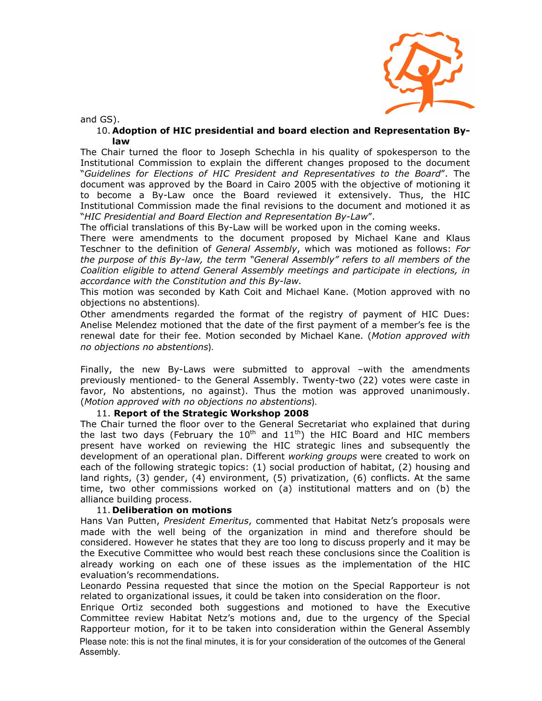

and GS).

#### 10. **Adoption of HIC presidential and board election and Representation Bylaw**

The Chair turned the floor to Joseph Schechla in his quality of spokesperson to the Institutional Commission to explain the different changes proposed to the document "*Guidelines for Elections of HIC President and Representatives to the Board*". The document was approved by the Board in Cairo 2005 with the objective of motioning it to become a By-Law once the Board reviewed it extensively. Thus, the HIC Institutional Commission made the final revisions to the document and motioned it as "*HIC Presidential and Board Election and Representation By-Law*".

The official translations of this By-Law will be worked upon in the coming weeks.

There were amendments to the document proposed by Michael Kane and Klaus Teschner to the definition of *General Assembly*, which was motioned as follows: *For the purpose of this By-law, the term "General Assembly" refers to all members of the Coalition eligible to attend General Assembly meetings and participate in elections, in accordance with the Constitution and this By-law.*

This motion was seconded by Kath Coit and Michael Kane. (Motion approved with no objections no abstentions).

Other amendments regarded the format of the registry of payment of HIC Dues: Anelise Melendez motioned that the date of the first payment of a member's fee is the renewal date for their fee. Motion seconded by Michael Kane. (*Motion approved with no objections no abstentions*).

Finally, the new By-Laws were submitted to approval –with the amendments previously mentioned- to the General Assembly. Twenty-two (22) votes were caste in favor, No abstentions, no against). Thus the motion was approved unanimously. (*Motion approved with no objections no abstentions*).

## 11. **Report of the Strategic Workshop 2008**

The Chair turned the floor over to the General Secretariat who explained that during the last two days (February the  $10^{th}$  and  $11^{th}$ ) the HIC Board and HIC members present have worked on reviewing the HIC strategic lines and subsequently the development of an operational plan. Different *working groups* were created to work on each of the following strategic topics: (1) social production of habitat, (2) housing and land rights, (3) gender, (4) environment, (5) privatization, (6) conflicts. At the same time, two other commissions worked on (a) institutional matters and on (b) the alliance building process.

## 11. **Deliberation on motions**

Hans Van Putten, *President Emeritus*, commented that Habitat Netz's proposals were made with the well being of the organization in mind and therefore should be considered. However he states that they are too long to discuss properly and it may be the Executive Committee who would best reach these conclusions since the Coalition is already working on each one of these issues as the implementation of the HIC evaluation's recommendations.

Leonardo Pessina requested that since the motion on the Special Rapporteur is not related to organizational issues, it could be taken into consideration on the floor.

Please note: this is not the final minutes, it is for your consideration of the outcomes of the General Assembly. Enrique Ortiz seconded both suggestions and motioned to have the Executive Committee review Habitat Netz's motions and, due to the urgency of the Special Rapporteur motion, for it to be taken into consideration within the General Assembly